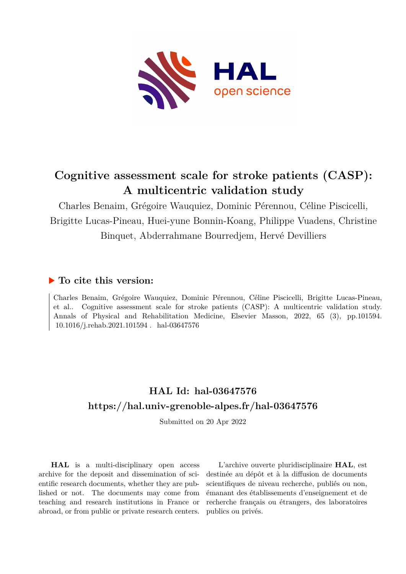

## **Cognitive assessment scale for stroke patients (CASP): A multicentric validation study**

Charles Benaim, Grégoire Wauquiez, Dominic Pérennou, Céline Piscicelli, Brigitte Lucas-Pineau, Huei-yune Bonnin-Koang, Philippe Vuadens, Christine Binquet, Abderrahmane Bourredjem, Hervé Devilliers

### **To cite this version:**

Charles Benaim, Grégoire Wauquiez, Dominic Pérennou, Céline Piscicelli, Brigitte Lucas-Pineau, et al.. Cognitive assessment scale for stroke patients (CASP): A multicentric validation study. Annals of Physical and Rehabilitation Medicine, Elsevier Masson, 2022, 65 (3), pp.101594.  $10.1016$ /i.rehab.2021.101594. hal-03647576

## **HAL Id: hal-03647576 <https://hal.univ-grenoble-alpes.fr/hal-03647576>**

Submitted on 20 Apr 2022

**HAL** is a multi-disciplinary open access archive for the deposit and dissemination of scientific research documents, whether they are published or not. The documents may come from teaching and research institutions in France or abroad, or from public or private research centers.

L'archive ouverte pluridisciplinaire **HAL**, est destinée au dépôt et à la diffusion de documents scientifiques de niveau recherche, publiés ou non, émanant des établissements d'enseignement et de recherche français ou étrangers, des laboratoires publics ou privés.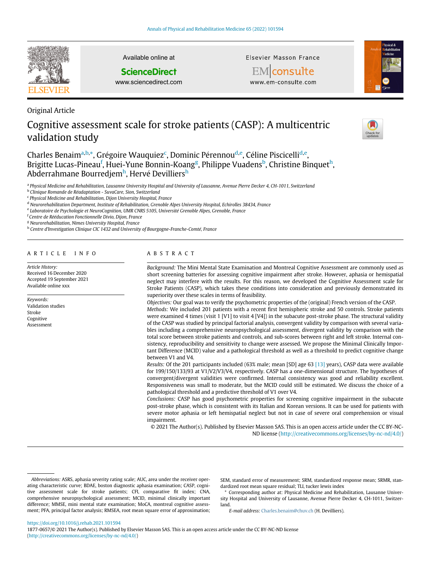

Original Article

validation study

Available online at

#### **ScienceDirect**

www.sciencedirect.com

Elsevier Masson France



**EM** consulte

# Cognitive assessment scale for stroke patients (CASP): A multicentric



Charles Benaim<sup>a,b,</sup>\*, Grégoire Wauquiez<sup>c</sup>, Dominic Pérennou<sup>d,e</sup>, Céline Piscicelli<sup>d,e</sup>, Brigitte Lucas-Pineau<sup>f</sup>, Huei-Yune Bonnin-Koang<sup>g</sup>, Philippe Vuadens<sup>b</sup>, Christine Binquet<sup>h</sup>, Abderrahmane Bourredjem<sup>h</sup>, Hervé Devilliers<sup>h</sup>

a Physical Medicine and Rehabilitation, Lausanne University Hospital and University of Lausanne, Avenue Pierre Decker 4, CH-1011, Switzerland

<sup>b</sup> Clinique Romande de Réadaptation - SuvaCare, Sion, Switzerland

<sup>c</sup> Physical Medicine and Rehabilitation, Dijon University Hospital, France

<sup>d</sup> Neurorehabilitation Department, Institute of Rehabilitation, Grenoble Alpes University Hospital, Echirolles 38434, France

e Laboratoire de Psychologie et NeuroCognition, UMR CNRS 5105, Université Grenoble Alpes, Grenoble, France

<sup>f</sup> Centre de Rééducation Fonctionnelle Divio, Dijon, France

<sup>g</sup> Neurorehabilitation, Nîmes University Hospital, France

h Centre d'Investigation Clinique CIC 1432 and University of Bourgogne-Franche-Comté, France

#### ARTICLE INFO

Article History: Received 16 December 2020 Accepted 19 September 2021 Available online xxx

Keywords: Validation studies Stroke Cognitive Assessment

#### ABSTRACT

Background: The Mini Mental State Examination and Montreal Cognitive Assessment are commonly used as short screening batteries for assessing cognitive impairment after stroke. However, aphasia or hemispatial neglect may interfere with the results. For this reason, we developed the Cognitive Assessment scale for Stroke Patients (CASP), which takes these conditions into consideration and previously demonstrated its superiority over these scales in terms of feasibility.

Objectives: Our goal was to verify the psychometric properties of the (original) French version of the CASP. Methods: We included 201 patients with a recent first hemispheric stroke and 50 controls. Stroke patients were examined 4 times (visit 1 [V1] to visit 4 [V4]) in the subacute post-stroke phase. The structural validity of the CASP was studied by principal factorial analysis, convergent validity by comparison with several variables including a comprehensive neuropsychological assessment, divergent validity by comparison with the total score between stroke patients and controls, and sub-scores between right and left stroke. Internal consistency, reproducibility and sensitivity to change were assessed. We propose the Minimal Clinically Important Difference (MCID) value and a pathological threshold as well as a threshold to predict cognitive change between V1 and V4.

Results: Of the 201 participants included (63% male; mean [SD] age 63 [13] years), CASP data were available for 199/150/133/93 at V1/V2/V3/V4, respectively. CASP has a one-dimensional structure. The hypotheses of convergent/divergent validities were confirmed. Internal consistency was good and reliability excellent. Responsiveness was small to moderate, but the MCID could still be estimated. We discuss the choice of a pathological threshold and a predictive threshold of V1 over V4.

Conclusions: CASP has good psychometric properties for screening cognitive impairment in the subacute post-stroke phase, which is consistent with its Italian and Korean versions. It can be used for patients with severe motor aphasia or left hemispatial neglect but not in case of severe oral comprehension or visual impairment.

© 2021 The Author(s). Published by Elsevier Masson SAS. This is an open access article under the CC BY-NC-ND license (<http://creativecommons.org/licenses/by-nc-nd/4.0/>)

SEM, standard error of measurement; SRM, standardized response mean; SRMR, standardized root mean square residual; TLI, tucker lewis index

\* Corresponding author at: Physical Medicine and Rehabilitation, Lausanne University Hospital and University of Lausanne, Avenue Pierre Decker 4, CH-1011, Switzerland.

E-mail address: [Charles.benaim@chuv.ch](mailto:Charles.benaim@chuv.ch) (H. Devilliers).

Abbreviations: ASRS, aphasia severity rating scale; AUC, area under the receiver operating characteristic curve; BDAE, boston diagnostic aphasia examination; CASP, cognitive assessment scale for stroke patients; CFI, comparative fit index; CNA, comprehensive neuropsychological assessment; MCID, minimal clinically important difference; MMSE, mini mental state examination; MoCA, montreal cognitive assessment; PFA, principal factor analysis; RMSEA, root mean square error of approximation;

<https://doi.org/10.1016/j.rehab.2021.101594>

<sup>1877-0657/© 2021</sup> The Author(s). Published by Elsevier Masson SAS. This is an open access article under the CC BY-NC-ND license ([http://creativecommons.org/licenses/by-nc-nd/4.0/\)](http://creativecommons.org/licenses/by-nc-nd/4.0/)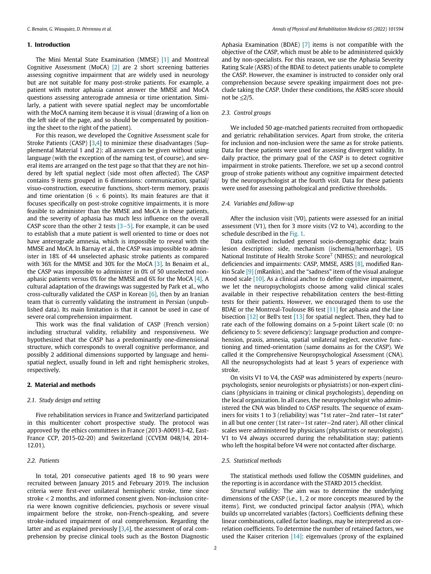#### 1. Introduction

The Mini Mental State Examination (MMSE) [1] and Montreal Cognitive Assessment (MoCA) [2] are 2 short screening batteries assessing cognitive impairment that are widely used in neurology but are not suitable for many post-stroke patients. For example, a patient with motor aphasia cannot answer the MMSE and MoCA questions assessing anterograde amnesia or time orientation. Similarly, a patient with severe spatial neglect may be uncomfortable with the MoCA naming item because it is visual (drawing of a lion on the left side of the page, and so should be compensated by positioning the sheet to the right of the patient).

For this reason, we developed the Cognitive Assessment scale for Stroke Patients (CASP) [3,4] to minimize these disadvantages (Supplemental Material 1 and 2): all answers can be given without using language (with the exception of the naming test, of course), and several items are arranged on the test page so that that they are not hindered by left spatial neglect (side most often affected). The CASP contains 9 items grouped in 6 dimensions: communication, spatial/ visuo-construction, executive functions, short-term memory, praxis and time orientation (6  $\times$  6 points). Its main features are that it focuses specifically on post-stroke cognitive impairments, it is more feasible to administer than the MMSE and MoCA in these patients, and the severity of aphasia has much less influence on the overall CASP score than the other 2 tests [3−5]. For example, it can be used to establish that a mute patient is well oriented to time or does not have anterograde amnesia, which is impossible to reveal with the MMSE and MoCA. In Barnay et al., the CASP was impossible to administer in 18% of 44 unselected aphasic stroke patients as compared with 36% for the MMSE and 30% for the MoCA [3]. In Benaim et al., the CASP was impossible to administer in 0% of 50 unselected nonaphasic patients versus 0% for the MMSE and 6% for the MoCA [4]. A cultural adaptation of the drawings was suggested by Park et al., who cross-culturally validated the CASP in Korean  $[6]$ , then by an Iranian team that is currently validating the instrument in Persian (unpublished data). Its main limitation is that it cannot be used in case of severe oral comprehension impairment.

This work was the final validation of CASP (French version) including structural validity, reliability and responsiveness. We hypothesized that the CASP has a predominantly one-dimensional structure, which corresponds to overall cognitive performance, and possibly 2 additional dimensions supported by language and hemispatial neglect, usually found in left and right hemispheric strokes, respectively.

#### 2. Material and methods

#### 2.1. Study design and setting

Five rehabilitation services in France and Switzerland participated in this multicenter cohort prospective study. The protocol was approved by the ethics committees in France (2013-A00913-42, East-France CCP, 2015-02-20) and Switzerland (CCVEM 048/14, 2014- 12.01).

#### 2.2. Patients

In total, 201 consecutive patients aged 18 to 90 years were recruited between January 2015 and February 2019. The inclusion criteria were first-ever unilateral hemispheric stroke, time since stroke < 2 months, and informed consent given. Non-inclusion criteria were known cognitive deficiencies, psychosis or severe visual impairment before the stroke, non-French-speaking, and severe stroke-induced impairment of oral comprehension. Regarding the latter and as explained previously [3,4], the assessment of oral comprehension by precise clinical tools such as the Boston Diagnostic Aphasia Examination (BDAE) [7] items is not compatible with the objective of the CASP, which must be able to be administered quickly and by non-specialists. For this reason, we use the Aphasia Severity Rating Scale (ASRS) of the BDAE to detect patients unable to complete the CASP. However, the examiner is instructed to consider only oral comprehension because severe speaking impairment does not preclude taking the CASP. Under these conditions, the ASRS score should not be  $\leq$ 2/5.

#### 2.3. Control groups

We included 50 age-matched patients recruited from orthopaedic and geriatric rehabilitation services. Apart from stroke, the criteria for inclusion and non-inclusion were the same as for stroke patients. Data for these patients were used for assessing divergent validity. In daily practice, the primary goal of the CASP is to detect cognitive impairment in stroke patients. Therefore, we set up a second control group of stroke patients without any cognitive impairment detected by the neuropsychologist at the fourth visit. Data for these patients were used for assessing pathological and predictive thresholds.

#### 2.4. Variables and follow-up

After the inclusion visit (V0), patients were assessed for an initial assessment (V1), then for 3 more visits (V2 to V4), according to the schedule described in the Fig. 1.

Data collected included general socio-demographic data; brain lesion description: side, mechanism (ischemia/hemorrhage), US National Institute of Health Stroke Score<sup>7</sup> (NIHSS); and neurological deficiencies and impairments: CASP, MMSE, ASRS [8], modified Rankin Scale [9] (mRankin), and the "sadness" item of the visual analogue mood scale [10]. As a clinical anchor to define cognitive impairment, we let the neuropsychologists choose among valid clinical scales available in their respective rehabilitation centers the best-fitting tests for their patients. However, we encouraged them to use the BDAE or the Montreal-Toulouse 86 test [11] for aphasia and the Line bisection [12] or Bell's test [13] for spatial neglect. Then, they had to rate each of the following domains on a 5-point Likert scale (0: no deficiency to 5: severe deficiency): language production and comprehension, praxis, amnesia, spatial unilateral neglect, executive functioning and timed-orientation (same domains as for the CASP). We called it the Comprehensive Neuropsychological Assessment (CNA). All the neuropsychologists had at least 5 years of experience with stroke.

On visits V1 to V4, the CASP was administered by experts (neuropsychologists, senior neurologists or physiatrists) or non-expert clinicians (physicians in training or clinical psychologists), depending on the local organization. In all cases, the neuropsychologist who administered the CNA was blinded to CASP results. The sequence of examiners for visits 1 to 3 (reliability) was "1st rater−2nd rater−1st rater" in all but one center (1st rater−1st rater−2nd rater). All other clinical scales were administered by physicians (physiatrists or neurologists). V1 to V4 always occurred during the rehabilitation stay; patients who left the hospital before V4 were not contacted after discharge.

#### 2.5. Statistical methods

The statistical methods used follow the COSMIN guidelines, and the reporting is in accordance with the STARD 2015 checklist.

Structural validity: The aim was to determine the underlying dimensions of the CASP (i.e., 1, 2 or more concepts measured by the items). First, we conducted principal factor analysis (PFA), which builds up uncorrelated variables (factors). Coefficients defining these linear combinations, called factor loadings, may be interpreted as correlation coefficients. To determine the number of retained factors, we used the Kaiser criterion [14]: eigenvalues (proxy of the explained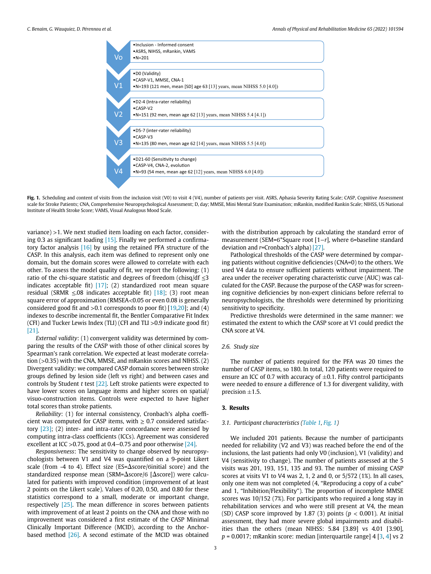

Fig. 1. Scheduling and content of visits from the inclusion visit (V0) to visit 4 (V4), number of patients per visit. ASRS, Aphasia Severity Rating Scale; CASP, Cognitive Assessment scale for Stroke Patients; CNA, Comprehensive Neuropsychological Assessment; D, day; MMSE, Mini Mental State Examination; mRankin, modified Rankin Scale; NIHSS, US National Institute of Health Stroke Score; VAMS, Visual Analogous Mood Scale.

variance) >1. We next studied item loading on each factor, considering 0.3 as significant loading [15]. Finally we performed a confirmatory factor analysis [16] by using the retained PFA structure of the CASP. In this analysis, each item was defined to represent only one domain, but the domain scores were allowed to correlate with each other. To assess the model quality of fit, we report the following: (1) ratio of the chi-square statistic and degrees of freedom (chisq/df  $\leq$ 3 indicates acceptable fit)  $[17]$ ; (2) standardized root mean square residual (SRMR  $\leq 0.08$  indicates acceptable fit) [18]; (3) root mean square error of approximation (RMSEA<0.05 or even 0.08 is generally considered good fit and  $>0.1$  corresponds to poor fit) [19,20]; and (4) indexes to describe incremental fit, the Bentler Comparative Fit Index (CFI) and Tucker Lewis Index (TLI) (CFI and TLI >0.9 indicate good fit) [21].

External validity: (1) convergent validity was determined by comparing the results of the CASP with those of other clinical scores by Spearman's rank correlation. We expected at least moderate correlation (>0.35) with the CNA, MMSE, and mRankin scores and NIHSS. (2) Divergent validity: we compared CASP domain scores between stroke groups defined by lesion side (left vs right) and between cases and controls by Student t test  $[22]$ . Left stroke patients were expected to have lower scores on language items and higher scores on spatial/ visuo-construction items. Controls were expected to have higher total scores than stroke patients.

Reliability: (1) for internal consistency, Cronbach's alpha coefficient was computed for CASP items, with  $\geq 0.7$  considered satisfactory  $[23]$ ; (2) inter- and intra-rater concordance were assessed by computing intra-class coefficients (ICCs). Agreement was considered excellent at ICC >0.75, good at 0.4−0.75 and poor otherwise [24].

Responsiveness: The sensitivity to change observed by neuropsychologists between V1 and V4 was quantified on a 9-point Likert scale (from -4 to 4). Effect size (ES= $\Delta$ score/ $\delta$ initial score) and the standardized response mean (SRM= $\Delta$ score/6 [ $\Delta$ score]) were calculated for patients with improved condition (improvement of at least 2 points on the Likert scale). Values of 0.20, 0.50, and 0.80 for these statistics correspond to a small, moderate or important change, respectively [25]. The mean difference in scores between patients with improvement of at least 2 points on the CNA and those with no improvement was considered a first estimate of the CASP Minimal Clinically Important Difference (MCID), according to the Anchorbased method [26]. A second estimate of the MCID was obtained

with the distribution approach by calculating the standard error of measurement (SEM=6\*Square root [1–r], where 6=baseline standard deviation and r=Cronbach's alpha) [27].

Pathological thresholds of the CASP were determined by comparing patients without cognitive deficiencies (CNA=0) to the others. We used V4 data to ensure sufficient patients without impairment. The area under the receiver operating characteristic curve (AUC) was calculated for the CASP. Because the purpose of the CASP was for screening cognitive deficiencies by non-expert clinicians before referral to neuropsychologists, the thresholds were determined by prioritizing sensitivity to specificity.

Predictive thresholds were determined in the same manner: we estimated the extent to which the CASP score at V1 could predict the CNA score at V4.

#### 2.6. Study size

The number of patients required for the PFA was 20 times the number of CASP items, so 180. In total, 120 patients were required to ensure an ICC of 0.7 with accuracy of  $\pm$ 0.1. Fifty control participants were needed to ensure a difference of 1.3 for divergent validity, with precision  $\pm 1.5$ .

#### 3. Results

#### 3.1. Participant characteristics (Table 1, Fig. 1)

We included 201 patients. Because the number of participants needed for reliability (V2 and V3) was reached before the end of the inclusions, the last patients had only V0 (inclusion), V1 (validity) and V4 (sensitivity to change). The number of patients assessed at the 5 visits was 201, 193, 151, 135 and 93. The number of missing CASP scores at visits V1 to V4 was 2, 1, 2 and 0, or 5/572 (1%). In all cases, only one item was not completed (4, "Reproducing a copy of a cube" and 1, "Inhibition/Flexibility"). The proportion of incomplete MMSE scores was 10/152 (7%). For participants who required a long stay in rehabilitation services and who were still present at V4, the mean (SD) CASP score improved by 1.87 (3) points ( $p < 0.001$ ). At initial assessment, they had more severe global impairments and disabilities than the others (mean NIHSS: 5.84 [3.89] vs 4.01 [3.90],  $p = 0.0017$ ; mRankin score: median [interquartile range] 4 [3, 4] vs 2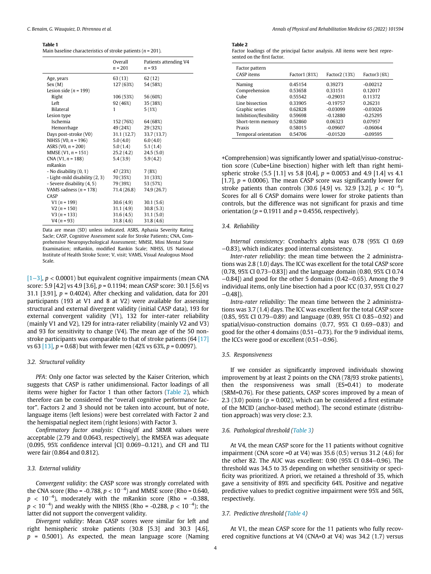#### Table 1

| Main baseline characteristics of stroke patients ( $n = 201$ ). |  |
|-----------------------------------------------------------------|--|
|-----------------------------------------------------------------|--|

|                                | Overall<br>$n = 201$ | Patients attending V4<br>$n = 93$ |
|--------------------------------|----------------------|-----------------------------------|
| Age, years                     | 63 (13)              | 62(12)                            |
| Sex(M)                         | 127 (63%)            | 54 (58%)                          |
| Lesion side ( $n = 199$ )      |                      |                                   |
| Right                          | 106 (53%)            | 56 (60%)                          |
| Left                           | 92 (46%)             | 35 (38%)                          |
| <b>Bilateral</b>               | 1                    | 5(1%)                             |
| Lesion type                    |                      |                                   |
| Ischemia                       | 152 (76%)            | 64 (68%)                          |
| Hemorrhage                     | 49 (24%)             | 29 (32%)                          |
| Days post-stroke (V0)          | 31.1 (12.7)          | 33.7 (13.7)                       |
| NIHSS (V0, $n = 196$ )         | 5.0(4.0)             | 6.0(4.0)                          |
| ASRS (V0, $n = 200$ )          | 5.0(1.4)             | 5.1(1.4)                          |
| MMSE (V1, $n = 151$ )          | 25.2(4.2)            | 24.5(5.0)                         |
| $CNA$ (V1, $n = 188$ )         | 5.4(3.9)             | 5.9(4.2)                          |
| mRankin                        |                      |                                   |
| - No disability (0, 1)         | 47 (23%)             | 7(8%)                             |
| - Light-mild disability (2, 3) | 70 (35%)             | 31 (33%)                          |
| - Severe disability (4, 5)     | 79 (39%)             | 53 (57%)                          |
| VAMS sadness $(n = 178)$       | 71.4 (26.8)          | 74.9 (26.7)                       |
| CASP                           |                      |                                   |
| $V1(n = 199)$                  | 30.6(4.9)            | 30.1(5.6)                         |
| $V2(n = 150)$                  | 31.1(4.9)            | 30.8(5.3)                         |
| $V3(n = 133)$                  | 31.6(4.5)            | 31.1(5.0)                         |
| $V4(n = 93)$                   | 31.8(4.6)            | 31.8(4.6)                         |

Data are mean (SD) unless indicated. ASRS, Aphasia Severity Rating Sacle; CASP, Cognitive Assessment scale for Stroke Patients; CNA, Comprehensive Neuropsychological Assessment; MMSE, Mini Mental State Examination; mRankin, modified Rankin Scale; NIHSS, US National Institute of Health Stroke Score; V, visit; VAMS, Visual Analogous Mood Scale.

[1−3], p < 0.0001) but equivalent cognitive impairments (mean CNA score: 5.9 [4.2] vs 4.9 [3.6], p = 0.1194; mean CASP score: 30.1 [5.6] vs 31.1 [3.91],  $p = 0.4024$ ). After checking and validation, data for 201 participants (193 at V1 and 8 at V2) were available for assessing structural and external divergent validity (initial CASP data), 193 for external convergent validity (V1), 132 for inter-rater reliability (mainly V1 and V2), 129 for intra-rater reliability (mainly V2 and V3) and 93 for sensitivity to change (V4). The mean age of the 50 nonstroke participants was comparable to that of stroke patients (64 [17] vs 63  $[13]$ ,  $p = 0.68$ ) but with fewer men (42% vs 63%,  $p = 0.0097$ ).

#### 3.2. Structural validity

PFA: Only one factor was selected by the Kaiser Criterion, which suggests that CASP is rather unidimensional. Factor loadings of all items were higher for Factor 1 than other factors (Table 2), which therefore can be considered the "overall cognitive performance factor". Factors 2 and 3 should not be taken into account, but of note, language items (left lesions) were best correlated with Factor 2 and the hemispatial neglect item (right lesions) with Factor 3.

Confirmatory factor analysis: Chisq/df and SRMR values were acceptable (2.79 and 0.0643, respectively), the RMSEA was adequate (0.095, 95% confidence interval [CI] 0.069−0.121), and CFI and TLI were fair (0.864 and 0.812).

#### 3.3. External validity

Convergent validity: the CASP score was strongly correlated with the CNA score (Rho = -0.788,  $p < 10^{-4}$ ) and MMSE score (Rho = 0.640,  $p$  < 10<sup>-4</sup>), moderately with the mRankin score (Rho = -0.388,  $p < 10^{-4}$ ) and weakly with the NIHSS (Rho = -0.288,  $p < 10^{-4}$ ); the latter did not support the convergent validity.

Divergent validity: Mean CASP scores were similar for left and right hemispheric stroke patients (30.8 [5.3] and 30.3 [4.6],  $p = 0.5001$ ). As expected, the mean language score (Naming

#### Table 2

Factor loadings of the principal factor analysis. All items were best represented on the first factor.

| Factor pattern<br><b>CASP</b> items | Factor1 (81%) | Factor2 (13%) | Factor $3(6%)$ |
|-------------------------------------|---------------|---------------|----------------|
| Naming                              | 0.45154       | 0.39273       | $-0.00212$     |
| Comprehension                       | 0.53658       | 0.33151       | 0.12017        |
| Cube                                | 0.55542       | $-0.29031$    | 0.11372        |
| Line bissection                     | 0.33905       | $-0.19757$    | 0.26231        |
| Graphic series                      | 0.62828       | $-0.03099$    | $-0.03026$     |
| Inhibition/flexibility              | 0.59698       | $-0.12880$    | $-0.25295$     |
| Short-term memory                   | 0.52860       | 0.06323       | 0.07957        |
| Praxis                              | 0.58015       | $-0.09607$    | $-0.06064$     |
| Temporal orientation                | 0.54706       | $-0.01520$    | $-0.09595$     |

+Comprehension) was significantly lower and spatial/visuo-construction score (Cube+Line bisection) higher with left than right hemispheric stroke  $(5.5 [1.1] \text{ vs } 5.8 [0.4], p = 0.0053 \text{ and } 4.9 [1.4] \text{ vs } 4.1$ [1.7],  $p = 0.0006$ ). The mean CASP score was significantly lower for stroke patients than controls (30.6 [4.9] vs. 32.9 [3.2],  $p < 10^{-4}$ ). Scores for all 6 CASP domains were lower for stroke patients than controls, but the difference was not significant for praxis and time orientation ( $p = 0.1911$  and  $p = 0.4556$ , respectively).

#### 3.4. Reliability

Internal consistency: Cronbach's alpha was 0.78 (95% CI 0.69 −0.83), which indicates good internal consistency.

Inter-rater reliability: the mean time between the 2 administrations was 2.8 (1.0) days. The ICC was excellent for the total CASP score (0.78, 95% CI 0.73−0.83]) and the language domain (0.80, 95% CI 0.74 −0.84]) and good for the other 5 domains (0.42−0.65). Among the 9 individual items, only Line bisection had a poor ICC (0.37, 95% CI 0.27  $-0.48$ ]).

Intra-rater reliability: The mean time between the 2 administrations was 3.7 (1.4) days. The ICC was excellent for the total CASP score (0.85, 95% CI 0.79−0.89) and language (0.89, 95% CI 0.85−0.92) and spatial/visuo-construction domains (0.77, 95% CI 0.69−0.83) and good for the other 4 domains (0.51−0.73). For the 9 individual items, the ICCs were good or excellent (0.51−0.96).

#### 3.5. Responsiveness

If we consider as significantly improved individuals showing improvement by at least 2 points on the CNA (78/93 stroke patients), then the responsiveness was small (ES=0.41) to moderate (SRM=0.76). For these patients, CASP scores improved by a mean of 2.3 (3.0) points ( $p = 0.002$ ), which can be considered a first estimate of the MCID (anchor-based method). The second estimate (distribution approach) was very close: 2.3.

#### 3.6. Pathological threshold (Table 3)

At V4, the mean CASP score for the 11 patients without cognitive impairment (CNA score =0 at V4) was  $35.6(0.5)$  versus  $31.2(4.6)$  for the other 82. The AUC was excellent: 0.90 (95% CI 0.84−0.96). The threshold was 34.5 to 35 depending on whether sensitivity or specificity was prioritized. A priori, we retained a threshold of 35, which gave a sensitivity of 89% and specificity 64%. Positive and negative predictive values to predict cognitive impairment were 95% and 56%, respectively.

#### 3.7. Predictive threshold (Table 4)

At V1, the mean CASP score for the 11 patients who fully recovered cognitive functions at V4 (CNA=0 at V4) was 34.2 (1.7) versus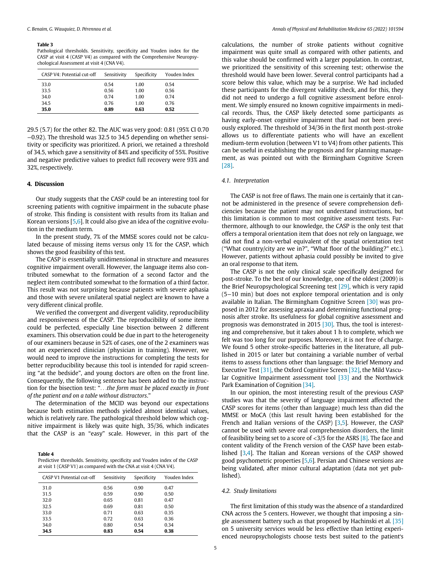#### Table 3

Pathological thresholds. Sensitivity, specificity and Youden index for the CASP at visit 4 (CASP V4) as compared with the Comprehensive Neuropsychological Assessment at visit 4 (CNA V4).

| CASP V4: Potential cut-off | Sensitivity | Specificity | Youden Index |
|----------------------------|-------------|-------------|--------------|
| 33.0                       | 0.54        | 1.00        | 0.54         |
| 33.5                       | 0.56        | 1.00        | 0.56         |
| 34.0                       | 0.74        | 1.00        | 0.74         |
| 34.5                       | 0.76        | 1.00        | 0.76         |
| 35.0                       | 0.89        | 0.63        | 0.52         |

29.5 (5.7) for the other 82. The AUC was very good: 0.81 (95% CI 0.70 −0.92). The threshold was 32.5 to 34.5 depending on whether sensitivity or specificity was prioritized. A priori, we retained a threshold of 34.5, which gave a sensitivity of 84% and specificity of 55%. Positive and negative predictive values to predict full recovery were 93% and 32%, respectively.

#### 4. Discussion

Our study suggests that the CASP could be an interesting tool for screening patients with cognitive impairment in the subacute phase of stroke. This finding is consistent with results from its Italian and Korean versions [5,6]. It could also give an idea of the cognitive evolution in the medium term.

In the present study, 7% of the MMSE scores could not be calculated because of missing items versus only 1% for the CASP, which shows the good feasibility of this test.

The CASP is essentially unidimensional in structure and measures cognitive impairment overall. However, the language items also contributed somewhat to the formation of a second factor and the neglect item contributed somewhat to the formation of a third factor. This result was not surprising because patients with severe aphasia and those with severe unilateral spatial neglect are known to have a very different clinical profile.

We verified the convergent and divergent validity, reproducibility and responsiveness of the CASP. The reproducibility of some items could be perfected, especially Line bisection between 2 different examiners. This observation could be due in part to the heterogeneity of our examiners because in 52% of cases, one of the 2 examiners was not an experienced clinician (physician in training). However, we would need to improve the instructions for completing the tests for better reproducibility because this tool is intended for rapid screening "at the bedside", and young doctors are often on the front line. Consequently, the following sentence has been added to the instruction for the bisection test: "...the form must be placed exactly in front of the patient and on a table without distractors."

The determination of the MCID was beyond our expectations because both estimation methods yielded almost identical values, which is relatively rare. The pathological threshold below which cognitive impairment is likely was quite high, 35/36, which indicates that the CASP is an "easy" scale. However, in this part of the

Table 4 Predictive thresholds. Sensitivity, specificity and Youden index of the CASP at visit 1 (CASP V1) as compared with the CNA at visit 4 (CNA V4).

| CASP V1 Potential cut-off | Sensitivity | Specificity | Youden Index |
|---------------------------|-------------|-------------|--------------|
| 31.0                      | 0.56        | 0.90        | 0.47         |
| 31.5                      | 0.59        | 0.90        | 0.50         |
| 32.0                      | 0.65        | 0.81        | 0.47         |
| 32.5                      | 0.69        | 0.81        | 0.50         |
| 33.0                      | 0.71        | 0.63        | 0.35         |
| 33.5                      | 0.72        | 0.63        | 0.36         |
| 34.0                      | 0.80        | 0.54        | 0.34         |
| 34.5                      | 0.83        | 0.54        | 0.38         |

calculations, the number of stroke patients without cognitive impairment was quite small as compared with other patients, and this value should be confirmed with a larger population. In contrast, we prioritized the sensitivity of this screening test; otherwise the threshold would have been lower. Several control participants had a score below this value, which may be a surprise. We had included these participants for the divergent validity check, and for this, they did not need to undergo a full cognitive assessment before enrolment. We simply ensured no known cognitive impairments in medical records. Thus, the CASP likely detected some participants as having early-onset cognitive impairment that had not been previously explored. The threshold of 34/36 in the first month post-stroke allows us to differentiate patients who will have an excellent medium-term evolution (between V1 to V4) from other patients. This can be useful in establishing the prognosis and for planning management, as was pointed out with the Birmingham Cognitive Screen [28].

#### 4.1. Interpretation

The CASP is not free of flaws. The main one is certainly that it cannot be administered in the presence of severe comprehension deficiencies because the patient may not understand instructions, but this limitation is common to most cognitive assessment tests. Furthermore, although to our knowledge, the CASP is the only test that offers a temporal orientation item that does not rely on language, we did not find a non-verbal equivalent of the spatial orientation test ("What country/city are we in?", "What floor of the building?" etc.). However, patients without aphasia could possibly be invited to give an oral response to that item.

The CASP is not the only clinical scale specifically designed for post-stroke. To the best of our knowledge, one of the oldest (2009) is the Brief Neuropsychological Screening test [29], which is very rapid (5−10 min) but does not explore temporal orientation and is only available in Italian. The Birmingham Cognitive Screen [30] was proposed in 2012 for assessing apraxia and determining functional prognosis after stroke. Its usefulness for global cognitive assessment and prognosis was demonstrated in 2015 [30]. Thus, the tool is interesting and comprehensive, but it takes about 1 h to complete, which we felt was too long for our purposes. Moreover, it is not free of charge. We found 5 other stroke-specific batteries in the literature, all published in 2015 or later but containing a variable number of verbal items to assess functions other than language: the Brief Memory and Executive Test [31], the Oxford Cognitive Screen [32], the Mild Vascular Cognitive Impairment assessment tool [33] and the Northwick Park Examination of Cognition [34].

In our opinion, the most interesting result of the previous CASP studies was that the severity of language impairment affected the CASP scores for items (other than language) much less than did the MMSE or MoCA (this last result having been established for the French and Italian versions of the CASP) [3,5]. However, the CASP cannot be used with severe oral comprehension disorders, the limit of feasibility being set to a score of  $\langle 3/5$  for the ASRS [8]. The face and content validity of the French version of the CASP have been established [3,4]. The Italian and Korean versions of the CASP showed good psychometric properties [5,6]. Persian and Chinese versions are being validated, after minor cultural adaptation (data not yet published).

#### 4.2. Study limitations

The first limitation of this study was the absence of a standardized CNA across the 5 centers. However, we thought that imposing a single assessment battery such as that proposed by Hachinski et al. [35] on 5 university services would be less effective than letting experienced neuropsychologists choose tests best suited to the patient's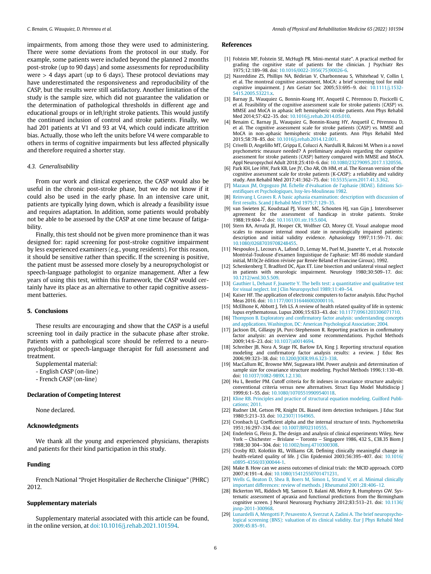impairments, from among those they were used to administering. There were some deviations from the protocol in our study. For example, some patients were included beyond the planned 2 months post-stroke (up to 90 days) and some assessments for reproducibility were  $>$  4 days apart (up to 6 days). These protocol deviations may have underestimated the responsiveness and reproducibility of the CASP, but the results were still satisfactory. Another limitation of the study is the sample size, which did not guarantee the validation or the determination of pathological thresholds in different age and educational groups or in left/right stroke patients. This would justify the continued inclusion of control and stroke patients. Finally, we had 201 patients at V1 and 93 at V4, which could indicate attrition bias. Actually, those who left the units before V4 were comparable to others in terms of cognitive impairments but less affected physically and therefore required a shorter stay.

#### 4.3. Generalisability

From our work and clinical experience, the CASP would also be useful in the chronic post-stroke phase, but we do not know if it could also be used in the early phase. In an intensive care unit, patients are typically lying down, which is already a feasibility issue and requires adaptation. In addition, some patients would probably not be able to be assessed by the CASP at one time because of fatigability.

Finally, this test should not be given more prominence than it was designed for: rapid screening for post-stroke cognitive impairment by less experienced examiners (e.g., young residents). For this reason, it should be sensitive rather than specific. If the screening is positive, the patient must be assessed more closely by a neuropsychologist or speech-language pathologist to organize management. After a few years of using this test, within this framework, the CASP would certainly have its place as an alternative to other rapid cognitive assessment batteries.

#### 5. Conclusions

These results are encouraging and show that the CASP is a useful screening tool in daily practice in the subacute phase after stroke. Patients with a pathological score should be referred to a neuropsychologist or speech-language therapist for full assessment and treatment.

Supplemental material:

- English CASP (on-line)
- French CASP (on-line)

#### Declaration of Competing Interest

None declared.

#### Acknowledgments

We thank all the young and experienced physicians, therapists and patients for their kind participation in this study.

#### Funding

French National "Projet Hospitalier de Recherche Clinique" (PHRC) 2012.

#### Supplementary materials

Supplementary material associated with this article can be found, in the online version, at [doi:10.1016/j.rehab.2021.101594](https://doi.org/10.1016/j.rehab.2021.101594).

#### References

- [1] Folstein MF, Folstein SE, McHugh PR. Mini-mental state". A practical method for grading the cognitive state of patients for the clinician. J Psychiatr Res 1975;12:189–98. doi: [10.1016/0022-3956\(75\)90026-6.](https://doi.org/10.1016/0022-3956(75)90026-6)
- [2] Nasreddine ZS, Phillips NA, Bedirian V, Charbonneau S, Whitehead V, Collin I, et al. The montreal cognitive assessment, MoCA: a brief screening tool for mild cognitive impairment. J Am Geriatr Soc 2005;53:695–9. doi: [10.1111/j.1532-](https://doi.org/10.1111/j.1532-5415.2005.53221.x) [5415.2005.53221.x.](https://doi.org/10.1111/j.1532-5415.2005.53221.x)
- [3] Barnay JL, Wauquiez G, Bonnin-Koang HY, Anquetil C, Pérennou D, Piscicelli C, et al. Feasibility of the cognitive assessment scale for stroke patients (CASP) vs. MMSE and MoCA in aphasic left hemispheric stroke patients. Ann Phys Rehabil Med 2014;57:422–35. doi: [10.1016/j.rehab.2014.05.010.](https://doi.org/10.1016/j.rehab.2014.05.010)
- [4] Benaim C, Barnay JL, Wauquiez G, Bonnin-Koang HY, Anquetil C, Pérennou D, et al. The cognitive assessment scale for stroke patients (CASP) vs. MMSE and MoCA in non-aphasic hemispheric stroke patients. Ann Phys Rehabil Med 2015;58:78–85. doi: [10.1016/j.rehab.2014.12.001.](https://doi.org/10.1016/j.rehab.2014.12.001)
- [5] Crivelli D, Angelillo MT, Grippa E, Colucci A, Nardulli R, Balconi M. When is a novel psychometric measure needed? A preliminary analysis regarding the cognitive assessment for stroke patients (CASP) battery compared with MMSE and MoCA. Appl Neuropsychol Adult 2018;25:410–6. doi: [10.1080/23279095.2017.1320556.](https://doi.org/10.1080/23279095.2017.1320556)
- [6] Park KH, Lee HW, Park KB, Lee JY, Cho AR, Oh HM, et al. The Korean version of the cognitive assessment scale for stroke patients (K-CASP): a reliability and validity study. Ann Rehabil Med 2017;41:362–75. doi: [10.5535/arm.2017.41.3.362.](https://doi.org/10.5535/arm.2017.41.3.362)
- [7] [Mazaux JM, Orgogozo JM. Échelle d](http://refhub.elsevier.com/S1877-0657(21)00112-3/sbref0007)'évaluation de l'[aphasie \(BDAE\). Editions Sci](http://refhub.elsevier.com/S1877-0657(21)00112-3/sbref0007)entifi[ques et Psychologiques, Issy-les-Moulineau 1982.](http://refhub.elsevier.com/S1877-0657(21)00112-3/sbref0007)
- [8] [Reinvang I, Graves R. A basic aphasia examination: description with discussion of](http://refhub.elsevier.com/S1877-0657(21)00112-3/sbref0008) fi[rst results. Scand J Rehabil Med 1975;7:129](http://refhub.elsevier.com/S1877-0657(21)00112-3/sbref0008)–35.
- [9] van Swieten JC, Koudstaal PJ, Visser MC, Schouten HJ, van Gijn J. Interobserver agreement for the assessment of handicap in stroke patients. Stroke 1988;19:604–7. doi: [10.1161/01.str.19.5.604.](https://doi.org/10.1161/01.str.19.5.604)
- [10] Stern RA, Arruda JE, Hooper CR, Wolfner GD, Morey CE, Visual analogue mood scales to measure internal mood state in neurologically impaired patients: description and initial validity evidence. Aphasiology 1997;11:59–71. doi: [10.1080/02687039708248455.](https://doi.org/10.1080/02687039708248455)
- [11] Nespoulos J., Lecours A., Lafond D., Lemay M., Puel M., Joanette Y., et al. Protocole Montréal-Toulouse d'examen linguistique de l'aphasie: MT-86 module standard initial, M1b(2e édition révisée par Renée Béland et Francine Giroux). 1992.
- [12] Schenkenberg T, Bradford DC, Ajax ET. Line bisection and unilateral visual neglect in patients with neurologic impairment. Neurology 1980;30:509–17. doi: [10.1212/wnl.30.5.509.](https://doi.org/10.1212/wnl.30.5.509)
- [13] [Gauthier L, Dehaut F, Joanette Y. The bells test: a quantitative and qualitative test](http://refhub.elsevier.com/S1877-0657(21)00112-3/sbref0013) [for visual neglect. Int J Clin Neuropsychol 1989;11:49](http://refhub.elsevier.com/S1877-0657(21)00112-3/sbref0013)–54.
- [14] Kaiser HF. The application of electronic computers to factor analysis. Educ Psychol Meas 2016. doi: [10.1177/001316446002000116.](https://doi.org/10.1177/001316446002000116)
- [15] McElhone K, Abbott J, Teh LS. A review of health related quality of life in systemic lupus erythematosus. Lupus 2006;15:633–43. doi: [10.1177/0961203306071710.](https://doi.org/10.1177/0961203306071710)
- [16] Thompson B. Exploratory and confi[rmatory factor analysis: understanding concepts](http://refhub.elsevier.com/S1877-0657(21)00112-3/sbref0016) [and applications. Washington, DC: American Psychological Association; 2004.](http://refhub.elsevier.com/S1877-0657(21)00112-3/sbref0016)
- [17] Jackson DL, Gillaspy JA, Purc-Stephenson R. Reporting practices in confirmatory factor analysis: an overview and some recommendations. Psychol Methods 2009;14:6–23. doi: [10.1037/a0014694.](https://doi.org/10.1037/a0014694)
- [18] Schreiber JB, Nora A, Stage FK, Barlow EA, King J. Reporting structural equation modeling and confirmatory factor analysis results: a review. J Educ Res 2006;99:323–38. doi: [10.3200/JOER.99.6.323-338.](https://doi.org/10.3200/JOER.99.6.323-338)
- [19] MacCallum RC, Browne MW, Sugawara HM. Power analysis and determination of sample size for covariance structure modeling. Psychol Methods 1996;1:130–49. doi: [10.1037/1082-989X.1.2.130.](https://doi.org/10.1037/1082-989X.1.2.130)
- [20] Hu L, Bentler PM. Cutoff criteria for fit indexes in covariance structure analysis: conventional criteria versus new alternatives. Struct Equ Model Multidiscip J 1999;6:1–55. doi: [10.1080/10705519909540118.](https://doi.org/10.1080/10705519909540118)
- [21] [Kline RB. Principles and practice of structural equation modeling. Guilford Publi](http://refhub.elsevier.com/S1877-0657(21)00112-3/sbref0021)[cations; 2011.](http://refhub.elsevier.com/S1877-0657(21)00112-3/sbref0021)
- [22] Rudner LM, Getson PR, Knight DL. Biased item detection techniques. J Educ Stat 1980;5:213–33. doi: [10.2307/1164965.](https://doi.org/10.2307/1164965)
- [23] Cronbach LJ. Coefficient alpha and the internal structure of tests. Psychometrika 1951;16:297–334. doi: [10.1007/BF02310555.](https://doi.org/10.1007/BF02310555)
- [24] Enderlein G, Fleiss JL. The design and analysis of clinical experiments Wiley, New York − Chichester − Brislane − Toronto − Singapore 1986, 432 S., £38.35 Biom J 1988;30 304−304. doi: [10.1002/bimj.4710300308.](https://doi.org/10.1002/bimj.4710300308)
- [25] Crosby RD, Kolotkin RL, Williams GR. Defining clinically meaningful change in health-related quality of life. J Clin Epidemiol 2003;56:395–407. doi: [10.1016/](https://doi.org/10.1016/s0895-4356(03)00044-1) [s0895-4356\(03\)00044-1.](https://doi.org/10.1016/s0895-4356(03)00044-1)
- [26] Make B. How can we assess outcomes of clinical trials: the MCID approach. COPD 2007;4:191–4. doi: [10.1080/15412550701471231.](https://doi.org/10.1080/15412550701471231)
- [27] [Wells G, Beaton D, Shea B, Boers M, Simon L, Strand V, et al. Minimal clinically](http://refhub.elsevier.com/S1877-0657(21)00112-3/sbref0027) [important differences: review of methods. J Rheumatol 2001;28:406](http://refhub.elsevier.com/S1877-0657(21)00112-3/sbref0027)–12.
- [28] Bickerton WL, Riddoch MJ, Samson D, Balani AB, Mistry B, Humphreys GW. Systematic assessment of apraxia and functional predictions from the Birmingham cognitive screen. J Neurol Neurosurg Psychiatry 2012;83:513–21. doi: [10.1136/](https://doi.org/10.1136/jnnp-2011-300968) [jnnp-2011-300968.](https://doi.org/10.1136/jnnp-2011-300968)
- [29] [Lunardelli A, Mengotti P, Pesavento A, Sverzut A, Zadini A. The brief neuropsycho](http://refhub.elsevier.com/S1877-0657(21)00112-3/sbref0029)[logical screening \(BNS\): valuation of its clinical validity. Eur J Phys Rehabil Med](http://refhub.elsevier.com/S1877-0657(21)00112-3/sbref0029) [2009;45:85](http://refhub.elsevier.com/S1877-0657(21)00112-3/sbref0029)–91.